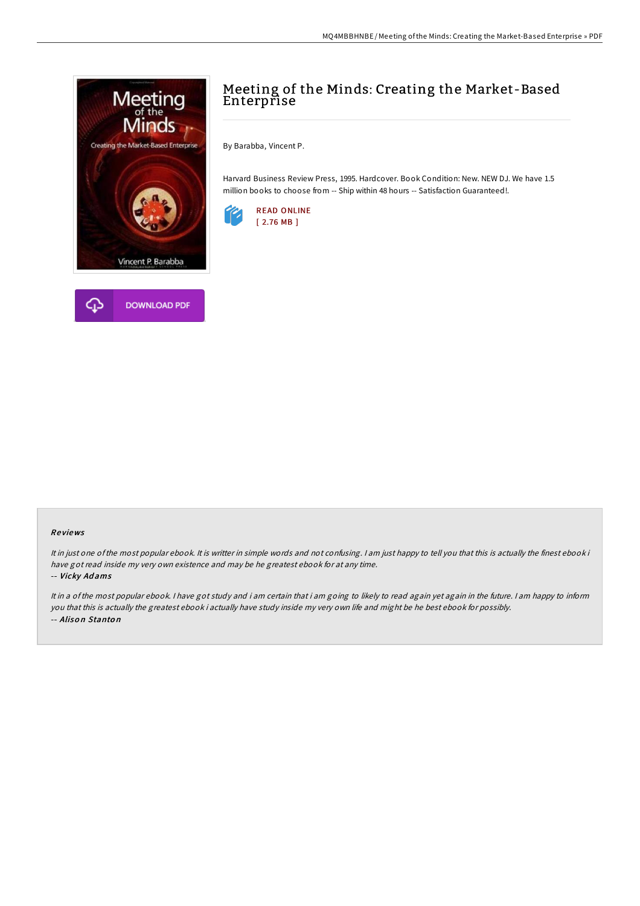



## Meeting of the Minds: Creating the Market-Based **Enterprise**

By Barabba, Vincent P.

Harvard Business Review Press, 1995. Hardcover. Book Condition: New. NEW DJ. We have 1.5 million books to choose from -- Ship within 48 hours -- Satisfaction Guaranteed!.



## Re views

It in just one ofthe most popular ebook. It is writter in simple words and not confusing. <sup>I</sup> am just happy to tell you that this is actually the finest ebook i have got read inside my very own existence and may be he greatest ebook for at any time. -- Vicky Ad ams

It in <sup>a</sup> of the most popular ebook. <sup>I</sup> have got study and i am certain that i am going to likely to read again yet again in the future. <sup>I</sup> am happy to inform you that this is actually the greatest ebook i actually have study inside my very own life and might be he best ebook for possibly. -- Alison Stanton